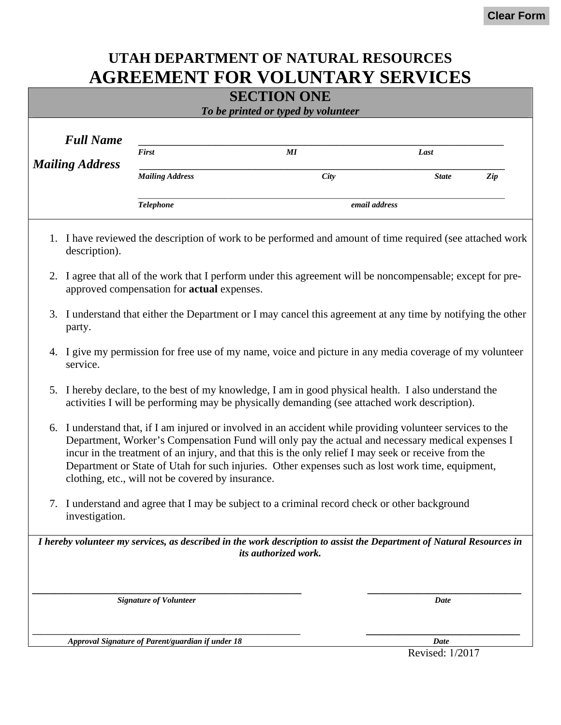## **UTAH DEPARTMENT OF NATURAL RESOURCES AGREEMENT FOR VOLUNTARY SERVICES**

| <b>SECTION ONE</b> |                                                                                                                                                                                                                                                                                                                                                                                                                                                                                 |                                                   |                                                                                                                                               |               |     |  |  |
|--------------------|---------------------------------------------------------------------------------------------------------------------------------------------------------------------------------------------------------------------------------------------------------------------------------------------------------------------------------------------------------------------------------------------------------------------------------------------------------------------------------|---------------------------------------------------|-----------------------------------------------------------------------------------------------------------------------------------------------|---------------|-----|--|--|
|                    |                                                                                                                                                                                                                                                                                                                                                                                                                                                                                 |                                                   | To be printed or typed by volunteer                                                                                                           |               |     |  |  |
|                    | <b>Full Name</b>                                                                                                                                                                                                                                                                                                                                                                                                                                                                |                                                   |                                                                                                                                               |               |     |  |  |
|                    |                                                                                                                                                                                                                                                                                                                                                                                                                                                                                 | First                                             | MI                                                                                                                                            | Last          |     |  |  |
|                    | <b>Mailing Address</b>                                                                                                                                                                                                                                                                                                                                                                                                                                                          | <b>Mailing Address</b>                            | City                                                                                                                                          | <b>State</b>  | Zip |  |  |
|                    |                                                                                                                                                                                                                                                                                                                                                                                                                                                                                 | <b>Telephone</b>                                  |                                                                                                                                               | email address |     |  |  |
|                    | description).                                                                                                                                                                                                                                                                                                                                                                                                                                                                   |                                                   | 1. I have reviewed the description of work to be performed and amount of time required (see attached work                                     |               |     |  |  |
| 2.                 |                                                                                                                                                                                                                                                                                                                                                                                                                                                                                 | approved compensation for <b>actual</b> expenses. | I agree that all of the work that I perform under this agreement will be noncompensable; except for pre-                                      |               |     |  |  |
| 3.                 | I understand that either the Department or I may cancel this agreement at any time by notifying the other<br>party.                                                                                                                                                                                                                                                                                                                                                             |                                                   |                                                                                                                                               |               |     |  |  |
| 4.                 | service.                                                                                                                                                                                                                                                                                                                                                                                                                                                                        |                                                   | I give my permission for free use of my name, voice and picture in any media coverage of my volunteer                                         |               |     |  |  |
| 5.                 | I hereby declare, to the best of my knowledge, I am in good physical health. I also understand the<br>activities I will be performing may be physically demanding (see attached work description).                                                                                                                                                                                                                                                                              |                                                   |                                                                                                                                               |               |     |  |  |
|                    | 6. I understand that, if I am injured or involved in an accident while providing volunteer services to the<br>Department, Worker's Compensation Fund will only pay the actual and necessary medical expenses I<br>incur in the treatment of an injury, and that this is the only relief I may seek or receive from the<br>Department or State of Utah for such injuries. Other expenses such as lost work time, equipment,<br>clothing, etc., will not be covered by insurance. |                                                   |                                                                                                                                               |               |     |  |  |
|                    | investigation.                                                                                                                                                                                                                                                                                                                                                                                                                                                                  |                                                   | 7. I understand and agree that I may be subject to a criminal record check or other background                                                |               |     |  |  |
|                    |                                                                                                                                                                                                                                                                                                                                                                                                                                                                                 |                                                   | I hereby volunteer my services, as described in the work description to assist the Department of Natural Resources in<br>its authorized work. |               |     |  |  |
|                    |                                                                                                                                                                                                                                                                                                                                                                                                                                                                                 |                                                   |                                                                                                                                               |               |     |  |  |
|                    |                                                                                                                                                                                                                                                                                                                                                                                                                                                                                 | <b>Signature of Volunteer</b>                     |                                                                                                                                               | Date          |     |  |  |
|                    |                                                                                                                                                                                                                                                                                                                                                                                                                                                                                 | Approval Signature of Parent/guardian if under 18 |                                                                                                                                               | Date          |     |  |  |

Revised: 1/2017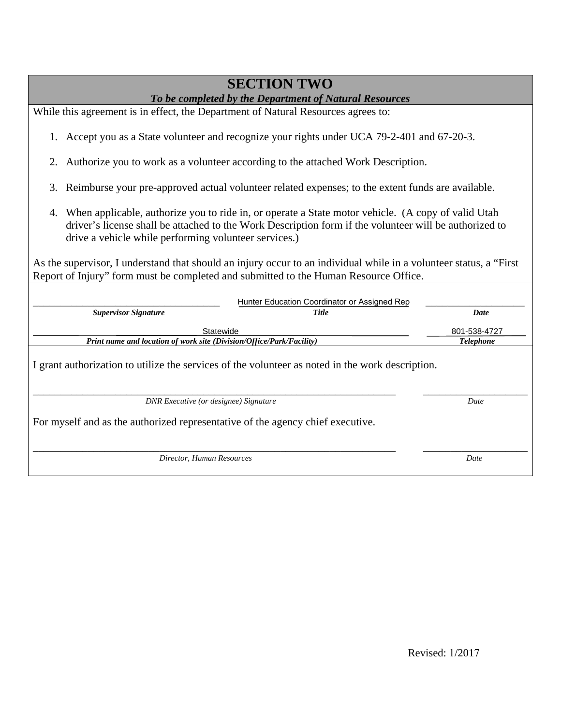## **SECTION TWO**

## *To be completed by the Department of Natural Resources*

While this agreement is in effect, the Department of Natural Resources agrees to:

- 1. Accept you as a State volunteer and recognize your rights under UCA 79-2-401 and 67-20-3.
- 2. Authorize you to work as a volunteer according to the attached Work Description.
- 3. Reimburse your pre-approved actual volunteer related expenses; to the extent funds are available.
- 4. When applicable, authorize you to ride in, or operate a State motor vehicle. (A copy of valid Utah driver's license shall be attached to the Work Description form if the volunteer will be authorized to drive a vehicle while performing volunteer services.)

As the supervisor, I understand that should an injury occur to an individual while in a volunteer status, a "First Report of Injury" form must be completed and submitted to the Human Resource Office.

|                                                                                | Hunter Education Coordinator or Assigned Rep                                                     |                  |
|--------------------------------------------------------------------------------|--------------------------------------------------------------------------------------------------|------------------|
| <b>Supervisor Signature</b>                                                    | <b>Title</b>                                                                                     | Date             |
| Statewide                                                                      |                                                                                                  | 801-538-4727     |
| Print name and location of work site (Division/Office/Park/Facility)           |                                                                                                  | <b>Telephone</b> |
| DNR Executive (or designee) Signature                                          | I grant authorization to utilize the services of the volunteer as noted in the work description. | Date             |
|                                                                                |                                                                                                  |                  |
| For myself and as the authorized representative of the agency chief executive. |                                                                                                  |                  |
|                                                                                |                                                                                                  |                  |
| Director, Human Resources                                                      |                                                                                                  | Date             |
|                                                                                |                                                                                                  |                  |